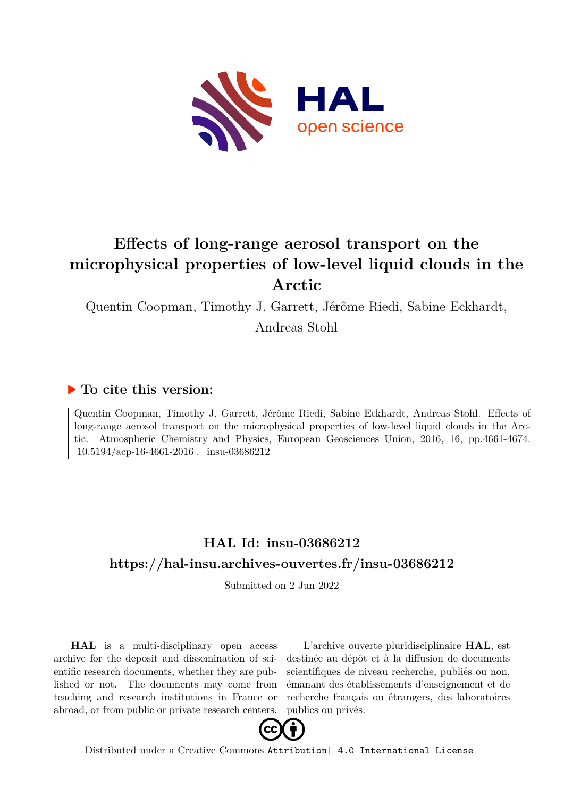

# **Effects of long-range aerosol transport on the microphysical properties of low-level liquid clouds in the Arctic**

Quentin Coopman, Timothy J. Garrett, Jérôme Riedi, Sabine Eckhardt,

Andreas Stohl

## **To cite this version:**

Quentin Coopman, Timothy J. Garrett, Jérôme Riedi, Sabine Eckhardt, Andreas Stohl. Effects of long-range aerosol transport on the microphysical properties of low-level liquid clouds in the Arctic. Atmospheric Chemistry and Physics, European Geosciences Union, 2016, 16, pp.4661-4674.  $10.5194/acp-16-4661-2016$ . insu-03686212

## **HAL Id: insu-03686212 <https://hal-insu.archives-ouvertes.fr/insu-03686212>**

Submitted on 2 Jun 2022

**HAL** is a multi-disciplinary open access archive for the deposit and dissemination of scientific research documents, whether they are published or not. The documents may come from teaching and research institutions in France or abroad, or from public or private research centers.

L'archive ouverte pluridisciplinaire **HAL**, est destinée au dépôt et à la diffusion de documents scientifiques de niveau recherche, publiés ou non, émanant des établissements d'enseignement et de recherche français ou étrangers, des laboratoires publics ou privés.



Distributed under a Creative Commons [Attribution| 4.0 International License](http://creativecommons.org/licenses/by/4.0/)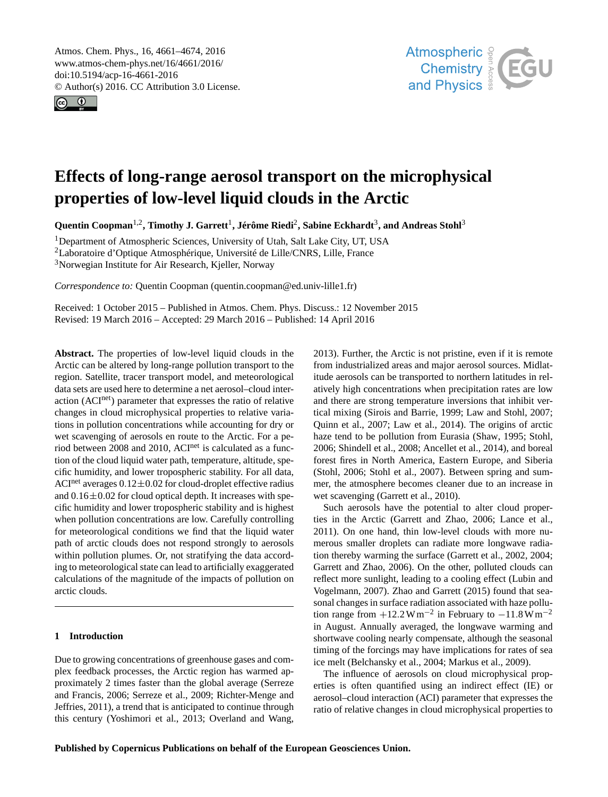Atmos. Chem. Phys., 16, 4661–4674, 2016 www.atmos-chem-phys.net/16/4661/2016/ doi:10.5194/acp-16-4661-2016 © Author(s) 2016. CC Attribution 3.0 License.





## **Effects of long-range aerosol transport on the microphysical properties of low-level liquid clouds in the Arctic**

**Quentin Coopman**1,2 **, Timothy J. Garrett**1 **, Jérôme Riedi**2 **, Sabine Eckhardt**3 **, and Andreas Stohl**3

<sup>1</sup>Department of Atmospheric Sciences, University of Utah, Salt Lake City, UT, USA <sup>2</sup>Laboratoire d'Optique Atmosphérique, Université de Lille/CNRS, Lille, France <sup>3</sup>Norwegian Institute for Air Research, Kjeller, Norway

*Correspondence to:* Quentin Coopman (quentin.coopman@ed.univ-lille1.fr)

Received: 1 October 2015 – Published in Atmos. Chem. Phys. Discuss.: 12 November 2015 Revised: 19 March 2016 – Accepted: 29 March 2016 – Published: 14 April 2016

**Abstract.** The properties of low-level liquid clouds in the Arctic can be altered by long-range pollution transport to the region. Satellite, tracer transport model, and meteorological data sets are used here to determine a net aerosol–cloud interaction (ACInet) parameter that expresses the ratio of relative changes in cloud microphysical properties to relative variations in pollution concentrations while accounting for dry or wet scavenging of aerosols en route to the Arctic. For a period between 2008 and 2010, ACI<sup>net</sup> is calculated as a function of the cloud liquid water path, temperature, altitude, specific humidity, and lower tropospheric stability. For all data, ACI<sup>net</sup> averages  $0.12 \pm 0.02$  for cloud-droplet effective radius and  $0.16\pm0.02$  for cloud optical depth. It increases with specific humidity and lower tropospheric stability and is highest when pollution concentrations are low. Carefully controlling for meteorological conditions we find that the liquid water path of arctic clouds does not respond strongly to aerosols within pollution plumes. Or, not stratifying the data according to meteorological state can lead to artificially exaggerated calculations of the magnitude of the impacts of pollution on arctic clouds.

## **1 Introduction**

Due to growing concentrations of greenhouse gases and complex feedback processes, the Arctic region has warmed approximately 2 times faster than the global average (Serreze and Francis, 2006; Serreze et al., 2009; Richter-Menge and Jeffries, 2011), a trend that is anticipated to continue through this century (Yoshimori et al., 2013; Overland and Wang, 2013). Further, the Arctic is not pristine, even if it is remote from industrialized areas and major aerosol sources. Midlatitude aerosols can be transported to northern latitudes in relatively high concentrations when precipitation rates are low and there are strong temperature inversions that inhibit vertical mixing (Sirois and Barrie, 1999; Law and Stohl, 2007; Quinn et al., 2007; Law et al., 2014). The origins of arctic haze tend to be pollution from Eurasia (Shaw, 1995; Stohl, 2006; Shindell et al., 2008; Ancellet et al., 2014), and boreal forest fires in North America, Eastern Europe, and Siberia (Stohl, 2006; Stohl et al., 2007). Between spring and summer, the atmosphere becomes cleaner due to an increase in wet scavenging (Garrett et al., 2010).

Such aerosols have the potential to alter cloud properties in the Arctic (Garrett and Zhao, 2006; Lance et al., 2011). On one hand, thin low-level clouds with more numerous smaller droplets can radiate more longwave radiation thereby warming the surface (Garrett et al., 2002, 2004; Garrett and Zhao, 2006). On the other, polluted clouds can reflect more sunlight, leading to a cooling effect (Lubin and Vogelmann, 2007). Zhao and Garrett (2015) found that seasonal changes in surface radiation associated with haze pollution range from  $+12.2 \text{ W m}^{-2}$  in February to  $-11.8 \text{ W m}^{-2}$ in August. Annually averaged, the longwave warming and shortwave cooling nearly compensate, although the seasonal timing of the forcings may have implications for rates of sea ice melt (Belchansky et al., 2004; Markus et al., 2009).

The influence of aerosols on cloud microphysical properties is often quantified using an indirect effect (IE) or aerosol–cloud interaction (ACI) parameter that expresses the ratio of relative changes in cloud microphysical properties to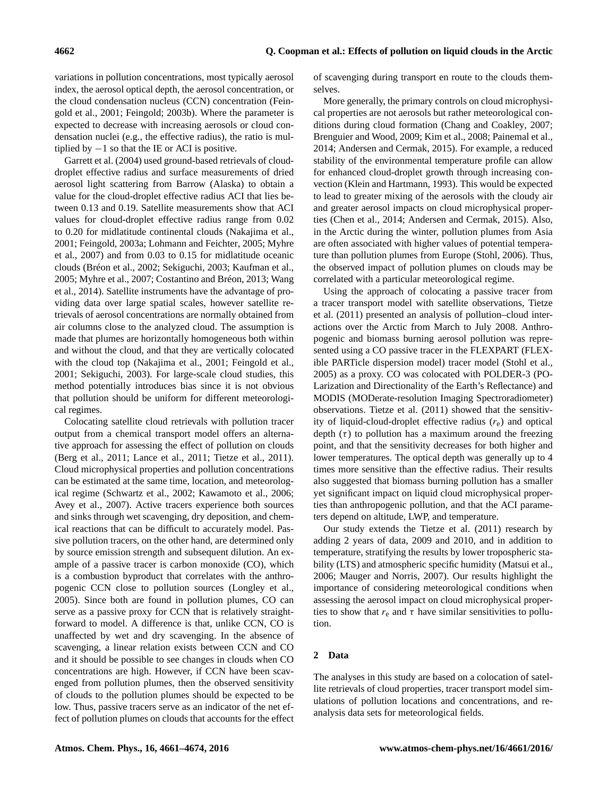variations in pollution concentrations, most typically aerosol index, the aerosol optical depth, the aerosol concentration, or the cloud condensation nucleus (CCN) concentration (Feingold et al., 2001; Feingold; 2003b). Where the parameter is expected to decrease with increasing aerosols or cloud condensation nuclei (e.g., the effective radius), the ratio is multiplied by  $-1$  so that the IE or ACI is positive.

Garrett et al. (2004) used ground-based retrievals of clouddroplet effective radius and surface measurements of dried aerosol light scattering from Barrow (Alaska) to obtain a value for the cloud-droplet effective radius ACI that lies between 0.13 and 0.19. Satellite measurements show that ACI values for cloud-droplet effective radius range from 0.02 to 0.20 for midlatitude continental clouds (Nakajima et al., 2001; Feingold, 2003a; Lohmann and Feichter, 2005; Myhre et al., 2007) and from 0.03 to 0.15 for midlatitude oceanic clouds (Bréon et al., 2002; Sekiguchi, 2003; Kaufman et al., 2005; Myhre et al., 2007; Costantino and Bréon, 2013; Wang et al., 2014). Satellite instruments have the advantage of providing data over large spatial scales, however satellite retrievals of aerosol concentrations are normally obtained from air columns close to the analyzed cloud. The assumption is made that plumes are horizontally homogeneous both within and without the cloud, and that they are vertically colocated with the cloud top (Nakajima et al., 2001; Feingold et al., 2001; Sekiguchi, 2003). For large-scale cloud studies, this method potentially introduces bias since it is not obvious that pollution should be uniform for different meteorological regimes.

Colocating satellite cloud retrievals with pollution tracer output from a chemical transport model offers an alternative approach for assessing the effect of pollution on clouds (Berg et al., 2011; Lance et al., 2011; Tietze et al., 2011). Cloud microphysical properties and pollution concentrations can be estimated at the same time, location, and meteorological regime (Schwartz et al., 2002; Kawamoto et al., 2006; Avey et al., 2007). Active tracers experience both sources and sinks through wet scavenging, dry deposition, and chemical reactions that can be difficult to accurately model. Passive pollution tracers, on the other hand, are determined only by source emission strength and subsequent dilution. An example of a passive tracer is carbon monoxide (CO), which is a combustion byproduct that correlates with the anthropogenic CCN close to pollution sources (Longley et al., 2005). Since both are found in pollution plumes, CO can serve as a passive proxy for CCN that is relatively straightforward to model. A difference is that, unlike CCN, CO is unaffected by wet and dry scavenging. In the absence of scavenging, a linear relation exists between CCN and CO and it should be possible to see changes in clouds when CO concentrations are high. However, if CCN have been scavenged from pollution plumes, then the observed sensitivity of clouds to the pollution plumes should be expected to be low. Thus, passive tracers serve as an indicator of the net effect of pollution plumes on clouds that accounts for the effect of scavenging during transport en route to the clouds themselves.

More generally, the primary controls on cloud microphysical properties are not aerosols but rather meteorological conditions during cloud formation (Chang and Coakley, 2007; Brenguier and Wood, 2009; Kim et al., 2008; Painemal et al., 2014; Andersen and Cermak, 2015). For example, a reduced stability of the environmental temperature profile can allow for enhanced cloud-droplet growth through increasing convection (Klein and Hartmann, 1993). This would be expected to lead to greater mixing of the aerosols with the cloudy air and greater aerosol impacts on cloud microphysical properties (Chen et al., 2014; Andersen and Cermak, 2015). Also, in the Arctic during the winter, pollution plumes from Asia are often associated with higher values of potential temperature than pollution plumes from Europe (Stohl, 2006). Thus, the observed impact of pollution plumes on clouds may be correlated with a particular meteorological regime.

Using the approach of colocating a passive tracer from a tracer transport model with satellite observations, Tietze et al. (2011) presented an analysis of pollution–cloud interactions over the Arctic from March to July 2008. Anthropogenic and biomass burning aerosol pollution was represented using a CO passive tracer in the FLEXPART (FLEXible PARTicle dispersion model) tracer model (Stohl et al., 2005) as a proxy. CO was colocated with POLDER-3 (PO-Larization and Directionality of the Earth's Reflectance) and MODIS (MODerate-resolution Imaging Spectroradiometer) observations. Tietze et al. (2011) showed that the sensitivity of liquid-cloud-droplet effective radius  $(r_e)$  and optical depth  $(\tau)$  to pollution has a maximum around the freezing point, and that the sensitivity decreases for both higher and lower temperatures. The optical depth was generally up to 4 times more sensitive than the effective radius. Their results also suggested that biomass burning pollution has a smaller yet significant impact on liquid cloud microphysical properties than anthropogenic pollution, and that the ACI parameters depend on altitude, LWP, and temperature.

Our study extends the Tietze et al. (2011) research by adding 2 years of data, 2009 and 2010, and in addition to temperature, stratifying the results by lower tropospheric stability (LTS) and atmospheric specific humidity (Matsui et al., 2006; Mauger and Norris, 2007). Our results highlight the importance of considering meteorological conditions when assessing the aerosol impact on cloud microphysical properties to show that  $r_e$  and  $\tau$  have similar sensitivities to pollution.

## **2 Data**

The analyses in this study are based on a colocation of satellite retrievals of cloud properties, tracer transport model simulations of pollution locations and concentrations, and reanalysis data sets for meteorological fields.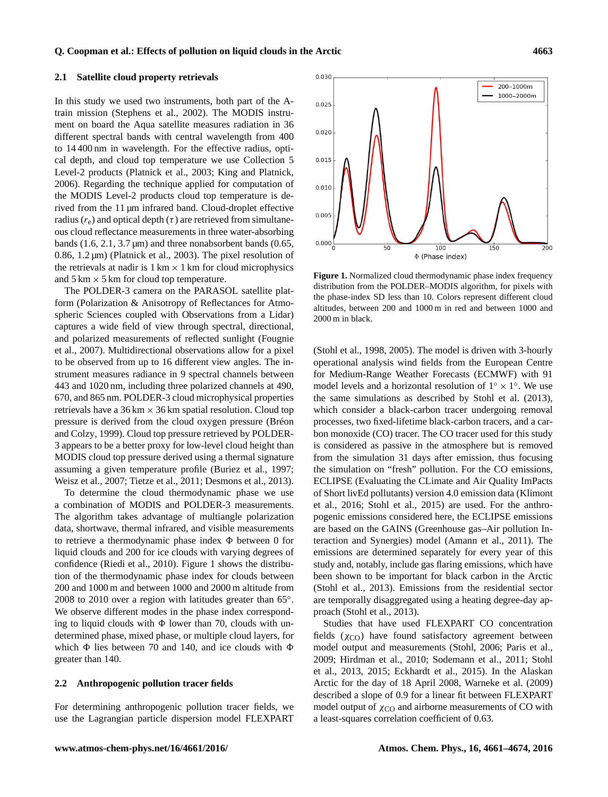#### **2.1 Satellite cloud property retrievals**

In this study we used two instruments, both part of the Atrain mission (Stephens et al., 2002). The MODIS instrument on board the Aqua satellite measures radiation in 36 different spectral bands with central wavelength from 400 to 14 400 nm in wavelength. For the effective radius, optical depth, and cloud top temperature we use Collection 5 Level-2 products (Platnick et al., 2003; King and Platnick, 2006). Regarding the technique applied for computation of the MODIS Level-2 products cloud top temperature is derived from the 11 µm infrared band. Cloud-droplet effective radius ( $r_e$ ) and optical depth ( $\tau$ ) are retrieved from simultaneous cloud reflectance measurements in three water-absorbing bands  $(1.6, 2.1, 3.7 \,\text{\mu m})$  and three nonabsorbent bands  $(0.65,$ 0.86, 1.2 µm) (Platnick et al., 2003). The pixel resolution of the retrievals at nadir is  $1 \text{ km} \times 1 \text{ km}$  for cloud microphysics and  $5 \text{ km} \times 5 \text{ km}$  for cloud top temperature.

The POLDER-3 camera on the PARASOL satellite platform (Polarization & Anisotropy of Reflectances for Atmospheric Sciences coupled with Observations from a Lidar) captures a wide field of view through spectral, directional, and polarized measurements of reflected sunlight (Fougnie et al., 2007). Multidirectional observations allow for a pixel to be observed from up to 16 different view angles. The instrument measures radiance in 9 spectral channels between 443 and 1020 nm, including three polarized channels at 490, 670, and 865 nm. POLDER-3 cloud microphysical properties retrievals have a  $36 \text{ km} \times 36 \text{ km}$  spatial resolution. Cloud top pressure is derived from the cloud oxygen pressure (Bréon and Colzy, 1999). Cloud top pressure retrieved by POLDER-3 appears to be a better proxy for low-level cloud height than MODIS cloud top pressure derived using a thermal signature assuming a given temperature profile (Buriez et al., 1997; Weisz et al., 2007; Tietze et al., 2011; Desmons et al., 2013).

To determine the cloud thermodynamic phase we use a combination of MODIS and POLDER-3 measurements. The algorithm takes advantage of multiangle polarization data, shortwave, thermal infrared, and visible measurements to retrieve a thermodynamic phase index  $\Phi$  between 0 for liquid clouds and 200 for ice clouds with varying degrees of confidence (Riedi et al., 2010). Figure 1 shows the distribution of the thermodynamic phase index for clouds between 200 and 1000 m and between 1000 and 2000 m altitude from 2008 to 2010 over a region with latitudes greater than  $65^\circ$ . We observe different modes in the phase index corresponding to liquid clouds with  $\Phi$  lower than 70, clouds with undetermined phase, mixed phase, or multiple cloud layers, for which  $\Phi$  lies between 70 and 140, and ice clouds with  $\Phi$ greater than 140.

#### **2.2 Anthropogenic pollution tracer fields**

For determining anthropogenic pollution tracer fields, we use the Lagrangian particle dispersion model FLEXPART

200-1000m 1000-2000m  $0.025$ 0.020 0.015  $0.010$ 0.005  $0.000$  $\overline{50}$  $\overline{100}$  $\overline{200}$  $\Phi$  (Phase index)

0.030

**Figure 1.** Normalized cloud thermodynamic phase index frequency distribution from the POLDER–MODIS algorithm, for pixels with the phase-index SD less than 10. Colors represent different cloud altitudes, between 200 and 1000 m in red and between 1000 and 2000 m in black.

(Stohl et al., 1998, 2005). The model is driven with 3-hourly operational analysis wind fields from the European Centre for Medium-Range Weather Forecasts (ECMWF) with 91 model levels and a horizontal resolution of  $1^\circ \times 1^\circ$ . We use the same simulations as described by Stohl et al. (2013), which consider a black-carbon tracer undergoing removal processes, two fixed-lifetime black-carbon tracers, and a carbon monoxide (CO) tracer. The CO tracer used for this study is considered as passive in the atmosphere but is removed from the simulation 31 days after emission, thus focusing the simulation on "fresh" pollution. For the CO emissions, ECLIPSE (Evaluating the CLimate and Air Quality ImPacts of Short livEd pollutants) version 4.0 emission data (Klimont et al., 2016; Stohl et al., 2015) are used. For the anthropogenic emissions considered here, the ECLIPSE emissions are based on the GAINS (Greenhouse gas–Air pollution Interaction and Synergies) model (Amann et al., 2011). The emissions are determined separately for every year of this study and, notably, include gas flaring emissions, which have been shown to be important for black carbon in the Arctic (Stohl et al., 2013). Emissions from the residential sector are temporally disaggregated using a heating degree-day approach (Stohl et al., 2013).

Studies that have used FLEXPART CO concentration fields  $(\chi_{\text{CO}})$  have found satisfactory agreement between model output and measurements (Stohl, 2006; Paris et al., 2009; Hirdman et al., 2010; Sodemann et al., 2011; Stohl et al., 2013, 2015; Eckhardt et al., 2015). In the Alaskan Arctic for the day of 18 April 2008, Warneke et al. (2009) described a slope of 0.9 for a linear fit between FLEXPART model output of  $\chi_{\text{CO}}$  and airborne measurements of CO with a least-squares correlation coefficient of 0.63.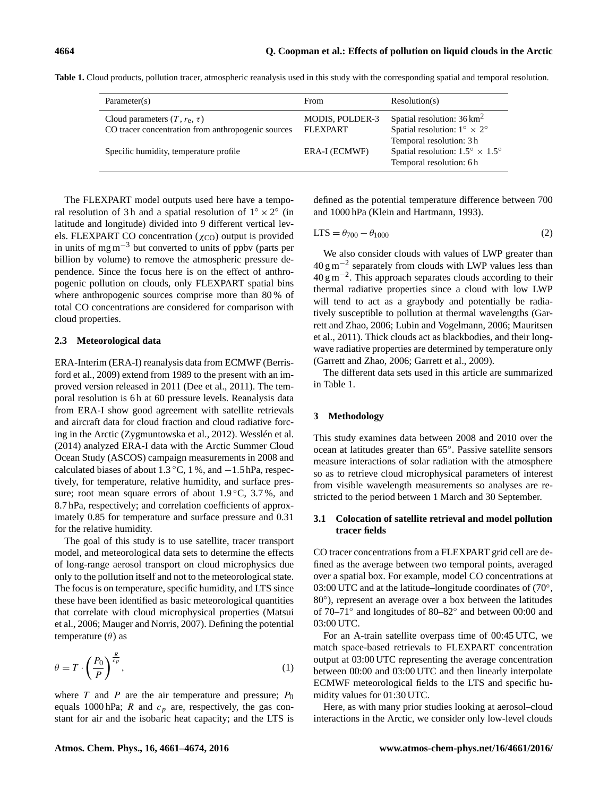| Parameter(s)                                                                            | <b>From</b>                               | Resolution(s)                                                                                               |
|-----------------------------------------------------------------------------------------|-------------------------------------------|-------------------------------------------------------------------------------------------------------------|
| Cloud parameters $(T, r_e, \tau)$<br>CO tracer concentration from anthropogenic sources | <b>MODIS, POLDER-3</b><br><b>FLEXPART</b> | Spatial resolution: $36 \text{ km}^2$<br>Spatial resolution: $1^{\circ} \times 2^{\circ}$                   |
| Specific humidity, temperature profile.                                                 | ERA-I (ECMWF)                             | Temporal resolution: 3 h<br>Spatial resolution: $1.5^{\circ} \times 1.5^{\circ}$<br>Temporal resolution: 6h |

Table 1. Cloud products, pollution tracer, atmospheric reanalysis used in this study with the corresponding spatial and temporal resolution.

The FLEXPART model outputs used here have a temporal resolution of 3h and a spatial resolution of  $1° \times 2°$  (in latitude and longitude) divided into 9 different vertical levels. FLEXPART CO concentration ( $\chi_{\text{CO}}$ ) output is provided in units of mg  $m<sup>-3</sup>$  but converted to units of ppbv (parts per billion by volume) to remove the atmospheric pressure dependence. Since the focus here is on the effect of anthropogenic pollution on clouds, only FLEXPART spatial bins where anthropogenic sources comprise more than 80 % of total CO concentrations are considered for comparison with cloud properties.

## **2.3 Meteorological data**

ERA-Interim (ERA-I) reanalysis data from ECMWF (Berrisford et al., 2009) extend from 1989 to the present with an improved version released in 2011 (Dee et al., 2011). The temporal resolution is 6 h at 60 pressure levels. Reanalysis data from ERA-I show good agreement with satellite retrievals and aircraft data for cloud fraction and cloud radiative forcing in the Arctic (Zygmuntowska et al., 2012). Wesslén et al. (2014) analyzed ERA-I data with the Arctic Summer Cloud Ocean Study (ASCOS) campaign measurements in 2008 and calculated biases of about  $1.3\text{ °C}$ ,  $1\text{ %}$ , and  $-1.5\text{ hPa}$ , respectively, for temperature, relative humidity, and surface pressure; root mean square errors of about  $1.9\degree C$ ,  $3.7\%$ , and 8.7 hPa, respectively; and correlation coefficients of approximately 0.85 for temperature and surface pressure and 0.31 for the relative humidity.

The goal of this study is to use satellite, tracer transport model, and meteorological data sets to determine the effects of long-range aerosol transport on cloud microphysics due only to the pollution itself and not to the meteorological state. The focus is on temperature, specific humidity, and LTS since these have been identified as basic meteorological quantities that correlate with cloud microphysical properties (Matsui et al., 2006; Mauger and Norris, 2007). Defining the potential temperature  $(\theta)$  as

$$
\theta = T \cdot \left(\frac{P_0}{P}\right)^{\frac{R}{c_p}},\tag{1}
$$

where  $T$  and  $P$  are the air temperature and pressure;  $P_0$ equals 1000 hPa; R and  $c_p$  are, respectively, the gas constant for air and the isobaric heat capacity; and the LTS is defined as the potential temperature difference between 700 and 1000 hPa (Klein and Hartmann, 1993).

$$
LTS = \theta_{700} - \theta_{1000} \tag{2}
$$

We also consider clouds with values of LWP greater than  $40 \text{ g m}^{-2}$  separately from clouds with LWP values less than 40 g m−<sup>2</sup> . This approach separates clouds according to their thermal radiative properties since a cloud with low LWP will tend to act as a graybody and potentially be radiatively susceptible to pollution at thermal wavelengths (Garrett and Zhao, 2006; Lubin and Vogelmann, 2006; Mauritsen et al., 2011). Thick clouds act as blackbodies, and their longwave radiative properties are determined by temperature only (Garrett and Zhao, 2006; Garrett et al., 2009).

The different data sets used in this article are summarized in Table 1.

## **3 Methodology**

This study examines data between 2008 and 2010 over the ocean at latitudes greater than 65◦ . Passive satellite sensors measure interactions of solar radiation with the atmosphere so as to retrieve cloud microphysical parameters of interest from visible wavelength measurements so analyses are restricted to the period between 1 March and 30 September.

## **3.1 Colocation of satellite retrieval and model pollution tracer fields**

CO tracer concentrations from a FLEXPART grid cell are defined as the average between two temporal points, averaged over a spatial box. For example, model CO concentrations at 03:00 UTC and at the latitude–longitude coordinates of (70°, 80◦ ), represent an average over a box between the latitudes of 70–71◦ and longitudes of 80–82◦ and between 00:00 and 03:00 UTC.

For an A-train satellite overpass time of 00:45 UTC, we match space-based retrievals to FLEXPART concentration output at 03:00 UTC representing the average concentration between 00:00 and 03:00 UTC and then linearly interpolate ECMWF meteorological fields to the LTS and specific humidity values for 01:30 UTC.

Here, as with many prior studies looking at aerosol–cloud interactions in the Arctic, we consider only low-level clouds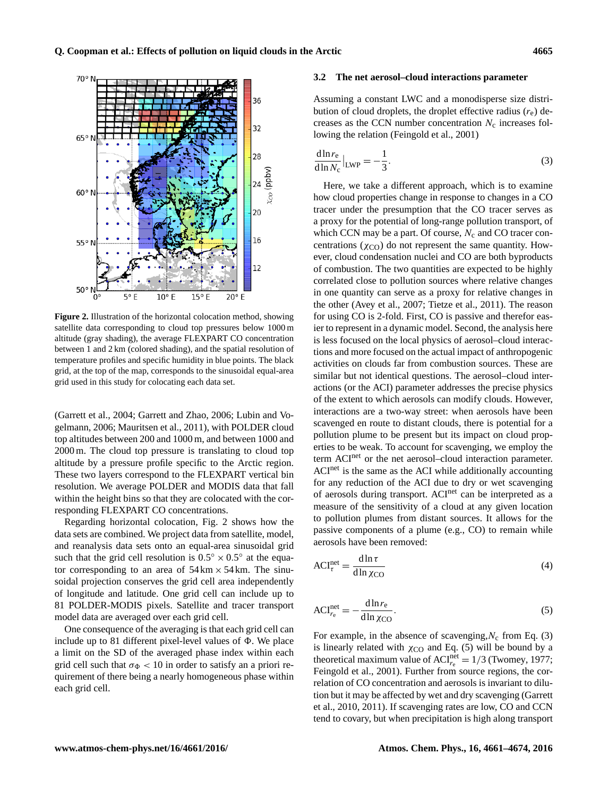

**Figure 2.** Illustration of the horizontal colocation method, showing satellite data corresponding to cloud top pressures below 1000 m altitude (gray shading), the average FLEXPART CO concentration between 1 and 2 km (colored shading), and the spatial resolution of temperature profiles and specific humidity in blue points. The black grid, at the top of the map, corresponds to the sinusoidal equal-area grid used in this study for colocating each data set.

(Garrett et al., 2004; Garrett and Zhao, 2006; Lubin and Vogelmann, 2006; Mauritsen et al., 2011), with POLDER cloud top altitudes between 200 and 1000 m, and between 1000 and 2000 m. The cloud top pressure is translating to cloud top altitude by a pressure profile specific to the Arctic region. These two layers correspond to the FLEXPART vertical bin resolution. We average POLDER and MODIS data that fall within the height bins so that they are colocated with the corresponding FLEXPART CO concentrations.

Regarding horizontal colocation, Fig. 2 shows how the data sets are combined. We project data from satellite, model, and reanalysis data sets onto an equal-area sinusoidal grid such that the grid cell resolution is  $0.5^{\circ} \times 0.5^{\circ}$  at the equator corresponding to an area of  $54 \text{ km} \times 54 \text{ km}$ . The sinusoidal projection conserves the grid cell area independently of longitude and latitude. One grid cell can include up to 81 POLDER-MODIS pixels. Satellite and tracer transport model data are averaged over each grid cell.

One consequence of the averaging is that each grid cell can include up to 81 different pixel-level values of  $\Phi$ . We place a limit on the SD of the averaged phase index within each grid cell such that  $\sigma_{\Phi}$  < 10 in order to satisfy an a priori requirement of there being a nearly homogeneous phase within each grid cell.

#### **3.2 The net aerosol–cloud interactions parameter**

Assuming a constant LWC and a monodisperse size distribution of cloud droplets, the droplet effective radius  $(r_e)$  decreases as the CCN number concentration  $N_c$  increases following the relation (Feingold et al., 2001)

$$
\frac{d\ln r_e}{d\ln N_c}\Big|_{\text{LWP}} = -\frac{1}{3}.\tag{3}
$$

Here, we take a different approach, which is to examine how cloud properties change in response to changes in a CO tracer under the presumption that the CO tracer serves as a proxy for the potential of long-range pollution transport, of which CCN may be a part. Of course,  $N_c$  and CO tracer concentrations ( $\chi_{\text{CO}}$ ) do not represent the same quantity. However, cloud condensation nuclei and CO are both byproducts of combustion. The two quantities are expected to be highly correlated close to pollution sources where relative changes in one quantity can serve as a proxy for relative changes in the other (Avey et al., 2007; Tietze et al., 2011). The reason for using CO is 2-fold. First, CO is passive and therefor easier to represent in a dynamic model. Second, the analysis here is less focused on the local physics of aerosol–cloud interactions and more focused on the actual impact of anthropogenic activities on clouds far from combustion sources. These are similar but not identical questions. The aerosol–cloud interactions (or the ACI) parameter addresses the precise physics of the extent to which aerosols can modify clouds. However, interactions are a two-way street: when aerosols have been scavenged en route to distant clouds, there is potential for a pollution plume to be present but its impact on cloud properties to be weak. To account for scavenging, we employ the term ACI<sup>net</sup> or the net aerosol–cloud interaction parameter. ACI<sup>net</sup> is the same as the ACI while additionally accounting for any reduction of the ACI due to dry or wet scavenging of aerosols during transport. ACInet can be interpreted as a measure of the sensitivity of a cloud at any given location to pollution plumes from distant sources. It allows for the passive components of a plume (e.g., CO) to remain while aerosols have been removed:

$$
ACI_{\tau}^{\text{net}} = \frac{d \ln \tau}{d \ln \chi_{\text{CO}}}
$$
 (4)

$$
ACI_{r_{e}}^{\text{net}} = -\frac{d\ln r_{e}}{d\ln \chi_{\text{CO}}}. \tag{5}
$$

For example, in the absence of scavenging,  $N_c$  from Eq. (3) is linearly related with  $\chi_{\text{CO}}$  and Eq. (5) will be bound by a theoretical maximum value of  $ACI_{r_e}^{\text{net}} = 1/3$  (Twomey, 1977; Feingold et al., 2001). Further from source regions, the correlation of CO concentration and aerosols is invariant to dilution but it may be affected by wet and dry scavenging (Garrett et al., 2010, 2011). If scavenging rates are low, CO and CCN tend to covary, but when precipitation is high along transport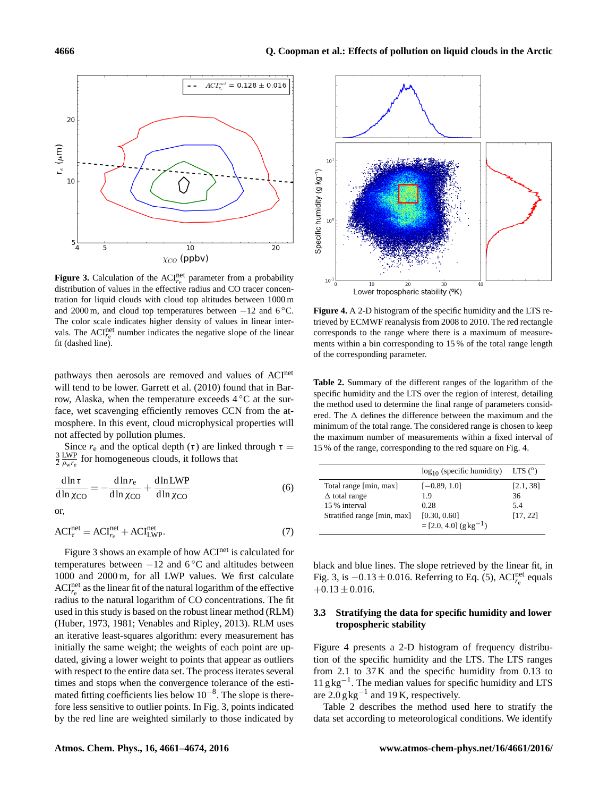

**Figure 3.** Calculation of the  $ACI_{r_e}^{\text{net}}$  parameter from a probability distribution of values in the effective radius and CO tracer concentration for liquid clouds with cloud top altitudes between 1000 m and 2000 m, and cloud top temperatures between  $-12$  and 6 °C. The color scale indicates higher density of values in linear intervals. The  $ACI_{r_e}^{\text{net}}$  number indicates the negative slope of the linear fit (dashed line).

pathways then aerosols are removed and values of ACInet will tend to be lower. Garrett et al. (2010) found that in Barrow, Alaska, when the temperature exceeds 4 ◦C at the surface, wet scavenging efficiently removes CCN from the atmosphere. In this event, cloud microphysical properties will not affected by pollution plumes.

Since  $r_e$  and the optical depth (τ) are linked through  $\tau =$  $\frac{3}{2} \frac{LWP}{\rho_w r_e}$  for homogeneous clouds, it follows that

$$
\frac{d\ln\tau}{d\ln\chi_{\rm CO}} = -\frac{d\ln r_{\rm e}}{d\ln\chi_{\rm CO}} + \frac{d\ln\text{LWP}}{d\ln\chi_{\rm CO}}\tag{6}
$$

or,

$$
ACI_{\tau}^{\text{net}} = ACI_{r_{\text{e}}}^{\text{net}} + ACI_{\text{LWP}}^{\text{net}}.
$$
 (7)

Figure 3 shows an example of how ACI<sup>net</sup> is calculated for temperatures between  $-12$  and  $6^{\circ}$ C and altitudes between 1000 and 2000 m, for all LWP values. We first calculate  $ACI_{r_e}^{net}$  as the linear fit of the natural logarithm of the effective radius to the natural logarithm of CO concentrations. The fit used in this study is based on the robust linear method (RLM) (Huber, 1973, 1981; Venables and Ripley, 2013). RLM uses an iterative least-squares algorithm: every measurement has initially the same weight; the weights of each point are updated, giving a lower weight to points that appear as outliers with respect to the entire data set. The process iterates several times and stops when the convergence tolerance of the estimated fitting coefficients lies below 10−<sup>8</sup> . The slope is therefore less sensitive to outlier points. In Fig. 3, points indicated by the red line are weighted similarly to those indicated by



**Figure 4.** A 2-D histogram of the specific humidity and the LTS retrieved by ECMWF reanalysis from 2008 to 2010. The red rectangle corresponds to the range where there is a maximum of measurements within a bin corresponding to 15 % of the total range length of the corresponding parameter.

**Table 2.** Summary of the different ranges of the logarithm of the specific humidity and the LTS over the region of interest, detailing the method used to determine the final range of parameters considered. The  $\Delta$  defines the difference between the maximum and the minimum of the total range. The considered range is chosen to keep the maximum number of measurements within a fixed interval of 15 % of the range, corresponding to the red square on Fig. 4.

|                             | $log_{10}$ (specific humidity)                      | LTS $(°)$ |
|-----------------------------|-----------------------------------------------------|-----------|
| Total range [min, max]      | $[-0.89, 1.0]$                                      | [2.1, 38] |
| $\Delta$ total range        | 1.9                                                 | 36        |
| 15 % interval               | 0.28                                                | 5.4       |
| Stratified range [min, max] | [0.30, 0.60]<br>$=[2.0, 4.0]$ (g kg <sup>-1</sup> ) | [17, 22]  |

black and blue lines. The slope retrieved by the linear fit, in Fig. 3, is  $-0.13 \pm 0.016$ . Referring to Eq. (5), ACI<sup>net</sup> equals  $+0.13 \pm 0.016$ .

## **3.3 Stratifying the data for specific humidity and lower tropospheric stability**

Figure 4 presents a 2-D histogram of frequency distribution of the specific humidity and the LTS. The LTS ranges from 2.1 to 37 K and the specific humidity from 0.13 to 11 g kg−<sup>1</sup> . The median values for specific humidity and LTS are  $2.0$  g kg<sup>-1</sup> and 19 K, respectively.

Table 2 describes the method used here to stratify the data set according to meteorological conditions. We identify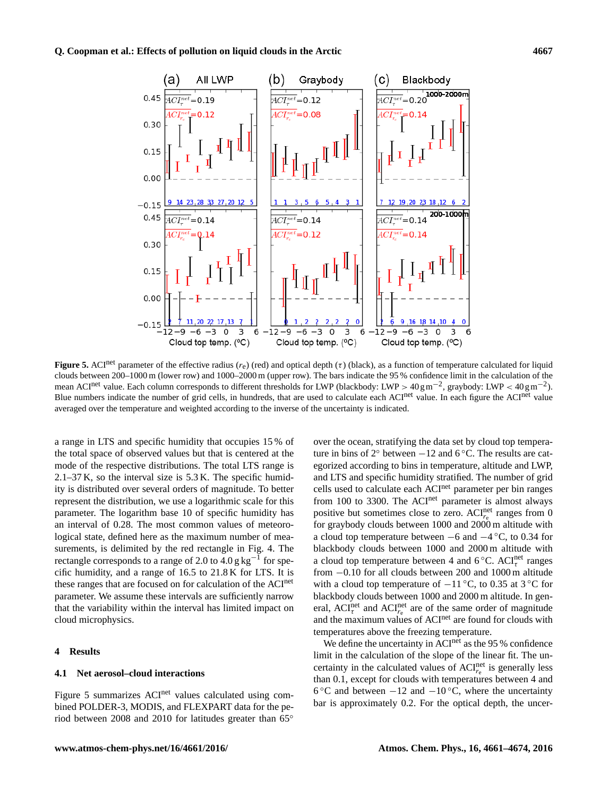

**Figure 5.** ACI<sup>net</sup> parameter of the effective radius ( $r_e$ ) (red) and optical depth (τ) (black), as a function of temperature calculated for liquid clouds between 200–1000 m (lower row) and 1000–2000 m (upper row). The bars indicate the 95 % confidence limit in the calculation of the mean ACI<sup>net</sup> value. Each column corresponds to different thresholds for LWP (blackbody: LWP >  $40 \text{ g m}^{-2}$ , graybody: LWP <  $40 \text{ g m}^{-2}$ ). Blue numbers indicate the number of grid cells, in hundreds, that are used to calculate each ACI<sup>net</sup> value. In each figure the ACI<sup>net</sup> value averaged over the temperature and weighted according to the inverse of the uncertainty is indicated.

a range in LTS and specific humidity that occupies 15 % of the total space of observed values but that is centered at the mode of the respective distributions. The total LTS range is 2.1–37 K, so the interval size is 5.3 K. The specific humidity is distributed over several orders of magnitude. To better represent the distribution, we use a logarithmic scale for this parameter. The logarithm base 10 of specific humidity has an interval of 0.28. The most common values of meteorological state, defined here as the maximum number of measurements, is delimited by the red rectangle in Fig. 4. The rectangle corresponds to a range of 2.0 to  $4.0 g kg^{-1}$  for specific humidity, and a range of 16.5 to 21.8 K for LTS. It is these ranges that are focused on for calculation of the ACInet parameter. We assume these intervals are sufficiently narrow that the variability within the interval has limited impact on cloud microphysics.

## **4 Results**

#### **4.1 Net aerosol–cloud interactions**

Figure 5 summarizes ACI<sup>net</sup> values calculated using combined POLDER-3, MODIS, and FLEXPART data for the period between 2008 and 2010 for latitudes greater than 65◦ over the ocean, stratifying the data set by cloud top temperature in bins of  $2°$  between  $-12$  and  $6°$ C. The results are categorized according to bins in temperature, altitude and LWP, and LTS and specific humidity stratified. The number of grid cells used to calculate each ACInet parameter per bin ranges from 100 to 3300. The ACI<sup>net</sup> parameter is almost always positive but sometimes close to zero.  $ACI_{r_e}^{\text{net}}$  ranges from 0 for graybody clouds between 1000 and 2000 m altitude with a cloud top temperature between −6 and −4 ◦C, to 0.34 for blackbody clouds between 1000 and 2000 m altitude with a cloud top temperature between 4 and 6 $°C$ . ACI<sub> $\tau$ </sub> ranges from −0.10 for all clouds between 200 and 1000 m altitude with a cloud top temperature of  $-11\degree C$ , to 0.35 at 3  $\degree C$  for blackbody clouds between 1000 and 2000 m altitude. In general,  $ACI^{net}_{\tau}$  and  $ACI^{net}_{\tau}$  are of the same order of magnitude and the maximum values of ACI<sup>net</sup> are found for clouds with temperatures above the freezing temperature.

We define the uncertainty in ACI<sup>net</sup> as the 95 % confidence limit in the calculation of the slope of the linear fit. The uncertainty in the calculated values of  $ACI_{r_e}^{net}$  is generally less than 0.1, except for clouds with temperatures between 4 and 6 °C and between  $-12$  and  $-10$  °C, where the uncertainty bar is approximately 0.2. For the optical depth, the uncer-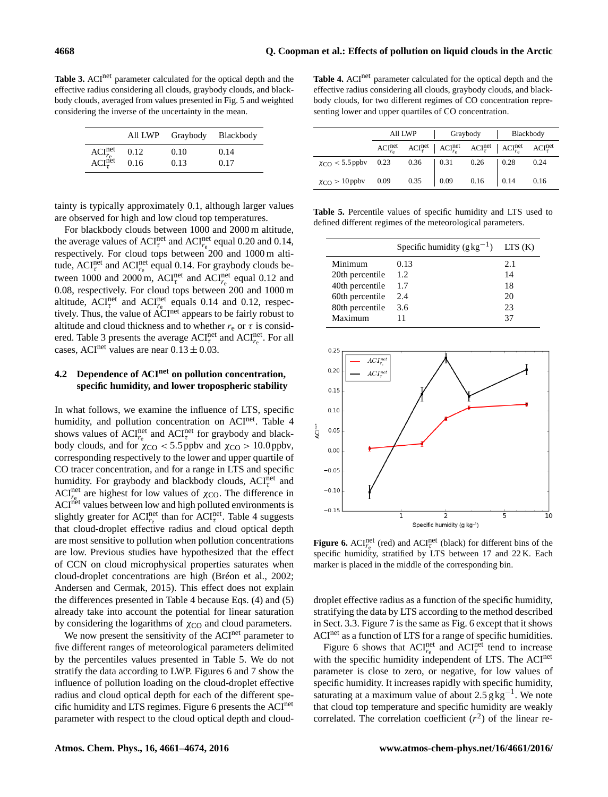**Table 3.** ACI<sup>net</sup> parameter calculated for the optical depth and the effective radius considering all clouds, graybody clouds, and blackbody clouds, averaged from values presented in Fig. 5 and weighted considering the inverse of the uncertainty in the mean.

|                                                            |      | All LWP Graybody | Blackbody |
|------------------------------------------------------------|------|------------------|-----------|
| $\text{ACI}_{r_{\rm e}}^{\rm net}$ ACI $_{\tau}^{\rm net}$ | 0.12 | 0.10             | 0.14      |
|                                                            | 0.16 | 0.13             | 0.17      |

tainty is typically approximately 0.1, although larger values are observed for high and low cloud top temperatures.

For blackbody clouds between 1000 and 2000 m altitude, the average values of  $ACI_{\tau}^{\text{net}}$  and  $ACI_{\tau_{\text{e}}}^{\text{net}}$  equal 0.20 and 0.14, respectively. For cloud tops between 200 and 1000 m altitude,  $\text{ACT}_{\tau}^{\text{net}}$  and  $\text{ACT}_{r_{\text{e}}}^{\text{net}}$  equal 0.14. For graybody clouds between 1000 and 2000 m,  $ACI_{\tau}^{net}$  and  $ACI_{r_e}^{net}$  equal 0.12 and 0.08, respectively. For cloud tops between 200 and 1000 m altitude,  $ACI_{\tau}^{\text{net}}$  and  $ACI_{\tau_{\text{e}}}^{\text{net}}$  equals 0.14 and 0.12, respectively. Thus, the value of ACInet appears to be fairly robust to altitude and cloud thickness and to whether  $r_e$  or  $\tau$  is considered. Table 3 presents the average  $ACI_{\tau_e}^{\text{net}}$  and  $ACI_{\tau_e}^{\text{net}}$ . For all cases, ACI<sup>net</sup> values are near  $0.13 \pm 0.03$ .

## **4.2 Dependence of ACInet on pollution concentration, specific humidity, and lower tropospheric stability**

In what follows, we examine the influence of LTS, specific humidity, and pollution concentration on ACInet. Table 4 shows values of  $\text{ACI}_{r_{\text{e}}}^{\text{net}}$  and  $\text{ACI}_{\tau}^{\text{net}}$  for graybody and blackbody clouds, and for  $\chi_{\text{CO}}$  < 5.5 ppbv and  $\chi_{\text{CO}}$  > 10.0 ppbv, corresponding respectively to the lower and upper quartile of CO tracer concentration, and for a range in LTS and specific humidity. For graybody and blackbody clouds,  $ACI_{\tau}^{net}$  and ACI<sup>net</sup> are highest for low values of  $\chi_{\text{CO}}$ . The difference in ACInet values between low and high polluted environments is slightly greater for  $\text{ACI}_{r_{\text{e}}}^{\text{net}}$  than for  $\text{ACI}_{\tau}^{\text{net}}$ . Table 4 suggests that cloud-droplet effective radius and cloud optical depth are most sensitive to pollution when pollution concentrations are low. Previous studies have hypothesized that the effect of CCN on cloud microphysical properties saturates when cloud-droplet concentrations are high (Bréon et al., 2002; Andersen and Cermak, 2015). This effect does not explain the differences presented in Table 4 because Eqs. (4) and (5) already take into account the potential for linear saturation by considering the logarithms of  $\chi_{\text{CO}}$  and cloud parameters.

We now present the sensitivity of the ACI<sup>net</sup> parameter to five different ranges of meteorological parameters delimited by the percentiles values presented in Table 5. We do not stratify the data according to LWP. Figures 6 and 7 show the influence of pollution loading on the cloud-droplet effective radius and cloud optical depth for each of the different specific humidity and LTS regimes. Figure 6 presents the ACInet parameter with respect to the cloud optical depth and cloud-

Table 4. ACI<sup>net</sup> parameter calculated for the optical depth and the effective radius considering all clouds, graybody clouds, and blackbody clouds, for two different regimes of CO concentration representing lower and upper quartiles of CO concentration.

|                                                               | All LWP |  | Graybody |  | Blackbody                                                                                                                                                            |      |
|---------------------------------------------------------------|---------|--|----------|--|----------------------------------------------------------------------------------------------------------------------------------------------------------------------|------|
|                                                               |         |  |          |  | ${ACI}_{r_e}^{\text{net}}$ ${ACI}_{\tau}^{\text{net}}$ ${ACI}_{r_e}^{\text{net}}$ ${ACI}_{\tau}^{\text{net}}$ ${ACI}_{r_e}^{\text{net}}$ ${ACI}_{\tau}^{\text{net}}$ |      |
| $\chi_{\text{CO}}$ < 5.5 ppbv 0.23 0.36 0.31 0.26 0.28        |         |  |          |  |                                                                                                                                                                      | 0.24 |
| $\chi_{\text{CO}} > 10 \text{ ppbv}$ 0.09 0.35 0.09 0.16 0.14 |         |  |          |  |                                                                                                                                                                      | 0.16 |

**Table 5.** Percentile values of specific humidity and LTS used to defined different regimes of the meteorological parameters.

|                 | Specific humidity $(g \text{ kg}^{-1})$ | LTS(K) |
|-----------------|-----------------------------------------|--------|
| Minimum         | 0.13                                    | 2.1    |
| 20th percentile | 1.2.                                    | 14     |
| 40th percentile | 1.7                                     | 18     |
| 60th percentile | 2.4                                     | 20     |
| 80th percentile | 3.6                                     | 23     |
| Maximum         |                                         | 37     |



**Figure 6.** ACI<sup>net</sup> (red) and ACI<sup>net</sup> (black) for different bins of the specific humidity, stratified by LTS between 17 and 22 K. Each marker is placed in the middle of the corresponding bin.

droplet effective radius as a function of the specific humidity, stratifying the data by LTS according to the method described in Sect. 3.3. Figure 7 is the same as Fig. 6 except that it shows ACI<sup>net</sup> as a function of LTS for a range of specific humidities.

Figure 6 shows that  $ACI_{r_e}^{\text{net}}$  and  $ACI_{\tau}^{\text{net}}$  tend to increase with the specific humidity independent of LTS. The ACI<sup>net</sup> parameter is close to zero, or negative, for low values of specific humidity. It increases rapidly with specific humidity, saturating at a maximum value of about  $2.5 g kg^{-1}$ . We note that cloud top temperature and specific humidity are weakly correlated. The correlation coefficient  $(r^2)$  of the linear re-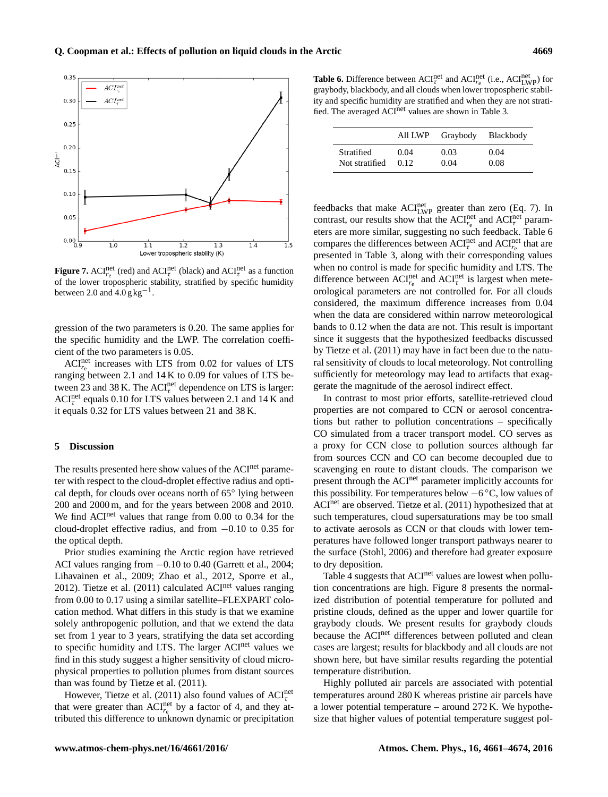

**Figure 7.** ACI<sup>net</sup> (red) and ACI<sup>net</sup> (black) and ACI<sup>net</sup> as a function of the lower tropospheric stability, stratified by specific humidity between 2.0 and  $4.0$  g kg<sup>-1</sup>.

gression of the two parameters is 0.20. The same applies for the specific humidity and the LWP. The correlation coefficient of the two parameters is 0.05.

 $ACI_{r_{e}}^{net}$  increases with LTS from 0.02 for values of LTS ranging between 2.1 and 14 K to 0.09 for values of LTS between 23 and 38 K. The  $ACI_{\tau}^{\text{net}}$  dependence on LTS is larger:  $ACI_{\tau}^{\text{net}}$  equals 0.10 for LTS values between 2.1 and 14 K and it equals 0.32 for LTS values between 21 and 38 K.

## **5 Discussion**

The results presented here show values of the ACI<sup>net</sup> parameter with respect to the cloud-droplet effective radius and optical depth, for clouds over oceans north of 65◦ lying between 200 and 2000 m, and for the years between 2008 and 2010. We find ACI<sup>net</sup> values that range from 0.00 to 0.34 for the cloud-droplet effective radius, and from −0.10 to 0.35 for the optical depth.

Prior studies examining the Arctic region have retrieved ACI values ranging from −0.10 to 0.40 (Garrett et al., 2004; Lihavainen et al., 2009; Zhao et al., 2012, Sporre et al., 2012). Tietze et al.  $(2011)$  calculated ACI<sup>net</sup> values ranging from 0.00 to 0.17 using a similar satellite–FLEXPART colocation method. What differs in this study is that we examine solely anthropogenic pollution, and that we extend the data set from 1 year to 3 years, stratifying the data set according to specific humidity and LTS. The larger ACI<sup>net</sup> values we find in this study suggest a higher sensitivity of cloud microphysical properties to pollution plumes from distant sources than was found by Tietze et al. (2011).

However, Tietze et al. (2011) also found values of  $\text{ACI}_{\tau}^{\text{net}}$ that were greater than  $ACI_{r_e}^{net}$  by a factor of 4, and they attributed this difference to unknown dynamic or precipitation

**Table 6.** Difference between  $\text{ACT}_{\tau}^{\text{net}}$  and  $\text{ACT}_{\text{re}}^{\text{net}}$  (i.e.,  $\text{ACT}_{\text{LWP}}^{\text{net}}$ ) for graybody, blackbody, and all clouds when lower tropospheric stability and specific humidity are stratified and when they are not stratified. The averaged ACI<sup>net</sup> values are shown in Table 3.

|                | All LWP | Graybody Blackbody |      |
|----------------|---------|--------------------|------|
| Stratified     | 0.04    | 0.03               | 0.04 |
| Not stratified | 012     | 0.04               | 0.08 |

feedbacks that make  $ACI_{LWP}^{net}$  greater than zero (Eq. 7). In contrast, our results show that the  $\text{ACI}_{r_{\text{e}}}^{\text{net}}$  and  $\text{ACI}_{\tau}^{\text{net}}$  parameters are more similar, suggesting no such feedback. Table 6 compares the differences between  $ACI_{\tau}^{\text{net}}$  and  $ACI_{\tau_{\text{e}}}^{\text{net}}$  that are presented in Table 3, along with their corresponding values when no control is made for specific humidity and LTS. The difference between  $ACI_{r_e}^{net}$  and  $ACI_{\tau}^{net}$  is largest when meteorological parameters are not controlled for. For all clouds considered, the maximum difference increases from 0.04 when the data are considered within narrow meteorological bands to 0.12 when the data are not. This result is important since it suggests that the hypothesized feedbacks discussed by Tietze et al. (2011) may have in fact been due to the natural sensitivity of clouds to local meteorology. Not controlling sufficiently for meteorology may lead to artifacts that exaggerate the magnitude of the aerosol indirect effect.

In contrast to most prior efforts, satellite-retrieved cloud properties are not compared to CCN or aerosol concentrations but rather to pollution concentrations – specifically CO simulated from a tracer transport model. CO serves as a proxy for CCN close to pollution sources although far from sources CCN and CO can become decoupled due to scavenging en route to distant clouds. The comparison we present through the ACI<sup>net</sup> parameter implicitly accounts for this possibility. For temperatures below  $-6^{\circ}$ C, low values of ACI<sup>net</sup> are observed. Tietze et al. (2011) hypothesized that at such temperatures, cloud supersaturations may be too small to activate aerosols as CCN or that clouds with lower temperatures have followed longer transport pathways nearer to the surface (Stohl, 2006) and therefore had greater exposure to dry deposition.

Table 4 suggests that ACI<sup>net</sup> values are lowest when pollution concentrations are high. Figure 8 presents the normalized distribution of potential temperature for polluted and pristine clouds, defined as the upper and lower quartile for graybody clouds. We present results for graybody clouds because the ACI<sup>net</sup> differences between polluted and clean cases are largest; results for blackbody and all clouds are not shown here, but have similar results regarding the potential temperature distribution.

Highly polluted air parcels are associated with potential temperatures around 280 K whereas pristine air parcels have a lower potential temperature – around 272 K. We hypothesize that higher values of potential temperature suggest pol-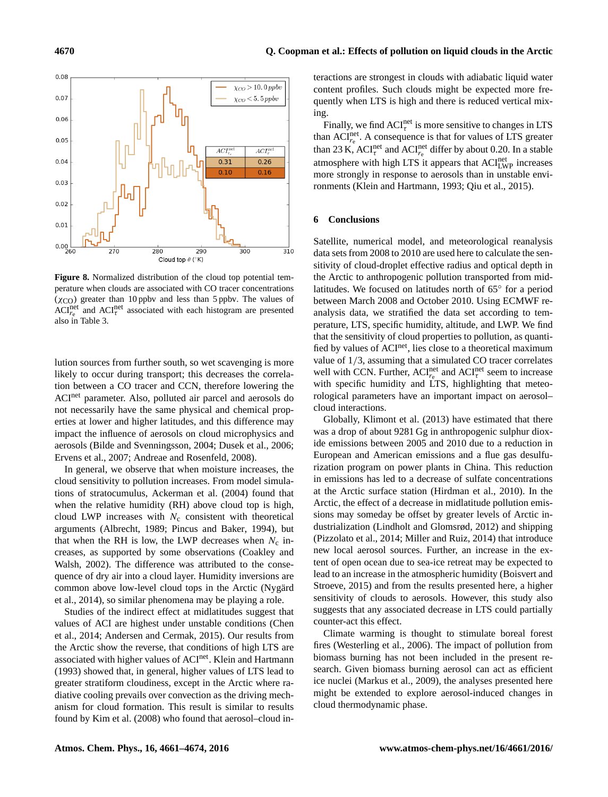

**Figure 8.** Normalized distribution of the cloud top potential temperature when clouds are associated with CO tracer concentrations  $(\chi_{\rm CO})$  greater than 10 ppbv and less than 5 ppbv. The values of ACI<sup>net</sup> and ACI<sup>net</sup> associated with each histogram are presented also in Table 3.

lution sources from further south, so wet scavenging is more likely to occur during transport; this decreases the correlation between a CO tracer and CCN, therefore lowering the ACInet parameter. Also, polluted air parcel and aerosols do not necessarily have the same physical and chemical properties at lower and higher latitudes, and this difference may impact the influence of aerosols on cloud microphysics and aerosols (Bilde and Svenningsson, 2004; Dusek et al., 2006; Ervens et al., 2007; Andreae and Rosenfeld, 2008).

In general, we observe that when moisture increases, the cloud sensitivity to pollution increases. From model simulations of stratocumulus, Ackerman et al. (2004) found that when the relative humidity (RH) above cloud top is high, cloud LWP increases with  $N_c$  consistent with theoretical arguments (Albrecht, 1989; Pincus and Baker, 1994), but that when the RH is low, the LWP decreases when  $N_c$  increases, as supported by some observations (Coakley and Walsh, 2002). The difference was attributed to the consequence of dry air into a cloud layer. Humidity inversions are common above low-level cloud tops in the Arctic (Nygärd et al., 2014), so similar phenomena may be playing a role.

Studies of the indirect effect at midlatitudes suggest that values of ACI are highest under unstable conditions (Chen et al., 2014; Andersen and Cermak, 2015). Our results from the Arctic show the reverse, that conditions of high LTS are associated with higher values of ACInet. Klein and Hartmann (1993) showed that, in general, higher values of LTS lead to greater stratiform cloudiness, except in the Arctic where radiative cooling prevails over convection as the driving mechanism for cloud formation. This result is similar to results found by Kim et al. (2008) who found that aerosol–cloud in-

teractions are strongest in clouds with adiabatic liquid water content profiles. Such clouds might be expected more frequently when LTS is high and there is reduced vertical mixing.

Finally, we find  $ACI_{\tau}^{net}$  is more sensitive to changes in LTS than  $ACI_{r_e}^{\text{net}}$ . A consequence is that for values of LTS greater than 23 K,  $ACI_{\tau}^{\text{net}}$  and  $ACI_{\tau_{\text{e}}}^{\text{net}}$  differ by about 0.20. In a stable atmosphere with high LTS it appears that ACI<sub>LWP</sub> increases more strongly in response to aerosols than in unstable environments (Klein and Hartmann, 1993; Qiu et al., 2015).

## **6 Conclusions**

Satellite, numerical model, and meteorological reanalysis data sets from 2008 to 2010 are used here to calculate the sensitivity of cloud-droplet effective radius and optical depth in the Arctic to anthropogenic pollution transported from midlatitudes. We focused on latitudes north of 65◦ for a period between March 2008 and October 2010. Using ECMWF reanalysis data, we stratified the data set according to temperature, LTS, specific humidity, altitude, and LWP. We find that the sensitivity of cloud properties to pollution, as quantified by values of ACI<sup>net</sup>, lies close to a theoretical maximum value of 1/3, assuming that a simulated CO tracer correlates well with CCN. Further,  $ACI_{r_e}^{\text{net}}$  and  $ACI_{\tau}^{\text{net}}$  seem to increase with specific humidity and LTS, highlighting that meteorological parameters have an important impact on aerosol– cloud interactions.

Globally, Klimont et al. (2013) have estimated that there was a drop of about 9281 Gg in anthropogenic sulphur dioxide emissions between 2005 and 2010 due to a reduction in European and American emissions and a flue gas desulfurization program on power plants in China. This reduction in emissions has led to a decrease of sulfate concentrations at the Arctic surface station (Hirdman et al., 2010). In the Arctic, the effect of a decrease in midlatitude pollution emissions may someday be offset by greater levels of Arctic industrialization (Lindholt and Glomsrød, 2012) and shipping (Pizzolato et al., 2014; Miller and Ruiz, 2014) that introduce new local aerosol sources. Further, an increase in the extent of open ocean due to sea-ice retreat may be expected to lead to an increase in the atmospheric humidity (Boisvert and Stroeve, 2015) and from the results presented here, a higher sensitivity of clouds to aerosols. However, this study also suggests that any associated decrease in LTS could partially counter-act this effect.

Climate warming is thought to stimulate boreal forest fires (Westerling et al., 2006). The impact of pollution from biomass burning has not been included in the present research. Given biomass burning aerosol can act as efficient ice nuclei (Markus et al., 2009), the analyses presented here might be extended to explore aerosol-induced changes in cloud thermodynamic phase.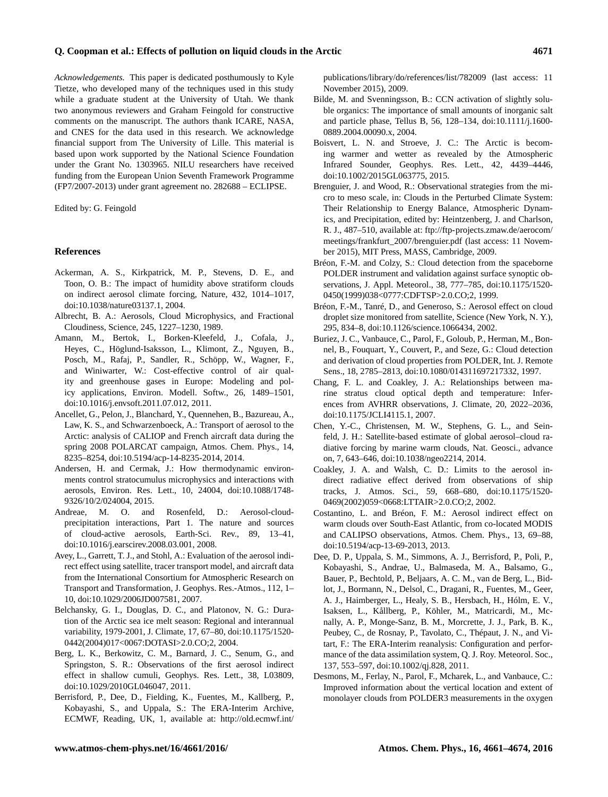### **Q. Coopman et al.: Effects of pollution on liquid clouds in the Arctic 4671**

*Acknowledgements.* This paper is dedicated posthumously to Kyle Tietze, who developed many of the techniques used in this study while a graduate student at the University of Utah. We thank two anonymous reviewers and Graham Feingold for constructive comments on the manuscript. The authors thank ICARE, NASA, and CNES for the data used in this research. We acknowledge financial support from The University of Lille. This material is based upon work supported by the National Science Foundation under the Grant No. 1303965. NILU researchers have received funding from the European Union Seventh Framework Programme (FP7/2007-2013) under grant agreement no. 282688 – ECLIPSE.

Edited by: G. Feingold

#### **References**

- Ackerman, A. S., Kirkpatrick, M. P., Stevens, D. E., and Toon, O. B.: The impact of humidity above stratiform clouds on indirect aerosol climate forcing, Nature, 432, 1014–1017, doi[:10.1038/nature03137.1,](http://dx.doi.org/10.1038/nature03137.1) 2004.
- Albrecht, B. A.: Aerosols, Cloud Microphysics, and Fractional Cloudiness, Science, 245, 1227–1230, 1989.
- Amann, M., Bertok, I., Borken-Kleefeld, J., Cofala, J., Heyes, C., Höglund-Isaksson, L., Klimont, Z., Nguyen, B., Posch, M., Rafaj, P., Sandler, R., Schöpp, W., Wagner, F., and Winiwarter, W.: Cost-effective control of air quality and greenhouse gases in Europe: Modeling and policy applications, Environ. Modell. Softw., 26, 1489–1501, doi[:10.1016/j.envsoft.2011.07.012,](http://dx.doi.org/10.1016/j.envsoft.2011.07.012) 2011.
- Ancellet, G., Pelon, J., Blanchard, Y., Quennehen, B., Bazureau, A., Law, K. S., and Schwarzenboeck, A.: Transport of aerosol to the Arctic: analysis of CALIOP and French aircraft data during the spring 2008 POLARCAT campaign, Atmos. Chem. Phys., 14, 8235–8254, doi[:10.5194/acp-14-8235-2014,](http://dx.doi.org/10.5194/acp-14-8235-2014) 2014.
- Andersen, H. and Cermak, J.: How thermodynamic environments control stratocumulus microphysics and interactions with aerosols, Environ. Res. Lett., 10, 24004, doi[:10.1088/1748-](http://dx.doi.org/10.1088/1748-9326/10/2/024004) [9326/10/2/024004,](http://dx.doi.org/10.1088/1748-9326/10/2/024004) 2015.
- Andreae, M. O. and Rosenfeld, D.: Aerosol-cloudprecipitation interactions, Part 1. The nature and sources of cloud-active aerosols, Earth-Sci. Rev., 89, 13–41, doi[:10.1016/j.earscirev.2008.03.001,](http://dx.doi.org/10.1016/j.earscirev.2008.03.001) 2008.
- Avey, L., Garrett, T. J., and Stohl, A.: Evaluation of the aerosol indirect effect using satellite, tracer transport model, and aircraft data from the International Consortium for Atmospheric Research on Transport and Transformation, J. Geophys. Res.-Atmos., 112, 1– 10, doi[:10.1029/2006JD007581,](http://dx.doi.org/10.1029/2006JD007581) 2007.
- Belchansky, G. I., Douglas, D. C., and Platonov, N. G.: Duration of the Arctic sea ice melt season: Regional and interannual variability, 1979-2001, J. Climate, 17, 67–80, doi[:10.1175/1520-](http://dx.doi.org/10.1175/1520-0442(2004)017<0067:DOTASI>2.0.CO;2) [0442\(2004\)017<0067:DOTASI>2.0.CO;2,](http://dx.doi.org/10.1175/1520-0442(2004)017<0067:DOTASI>2.0.CO;2) 2004.
- Berg, L. K., Berkowitz, C. M., Barnard, J. C., Senum, G., and Springston, S. R.: Observations of the first aerosol indirect effect in shallow cumuli, Geophys. Res. Lett., 38, L03809, doi[:10.1029/2010GL046047,](http://dx.doi.org/10.1029/2010GL046047) 2011.
- Berrisford, P., Dee, D., Fielding, K., Fuentes, M., Kallberg, P., Kobayashi, S., and Uppala, S.: The ERA-Interim Archive, ECMWF, Reading, UK, 1, available at: [http://old.ecmwf.int/](http://old.ecmwf.int/publications/library/do/references/list/782009)

[publications/library/do/references/list/782009](http://old.ecmwf.int/publications/library/do/references/list/782009) (last access: 11 November 2015), 2009.

- Bilde, M. and Svenningsson, B.: CCN activation of slightly soluble organics: The importance of small amounts of inorganic salt and particle phase, Tellus B, 56, 128–134, doi[:10.1111/j.1600-](http://dx.doi.org/10.1111/j.1600-0889.2004.00090.x) [0889.2004.00090.x,](http://dx.doi.org/10.1111/j.1600-0889.2004.00090.x) 2004.
- Boisvert, L. N. and Stroeve, J. C.: The Arctic is becoming warmer and wetter as revealed by the Atmospheric Infrared Sounder, Geophys. Res. Lett., 42, 4439–4446, doi[:10.1002/2015GL063775,](http://dx.doi.org/10.1002/2015GL063775) 2015.
- Brenguier, J. and Wood, R.: Observational strategies from the micro to meso scale, in: Clouds in the Perturbed Climate System: Their Relationship to Energy Balance, Atmospheric Dynamics, and Precipitation, edited by: Heintzenberg, J. and Charlson, R. J., 487–510, available at: [ftp://ftp-projects.zmaw.de/aerocom/](ftp://ftp-projects.zmaw.de/aerocom/meetings/frankfurt_2007/brenguier.pdf) [meetings/frankfurt\\_2007/brenguier.pdf](ftp://ftp-projects.zmaw.de/aerocom/meetings/frankfurt_2007/brenguier.pdf) (last access: 11 November 2015), MIT Press, MASS, Cambridge, 2009.
- Bréon, F.-M. and Colzy, S.: Cloud detection from the spaceborne POLDER instrument and validation against surface synoptic observations, J. Appl. Meteorol., 38, 777–785, doi[:10.1175/1520-](http://dx.doi.org/10.1175/1520-0450(1999)038<0777:CDFTSP>2.0.CO;2) [0450\(1999\)038<0777:CDFTSP>2.0.CO;2,](http://dx.doi.org/10.1175/1520-0450(1999)038<0777:CDFTSP>2.0.CO;2) 1999.
- Bréon, F.-M., Tanré, D., and Generoso, S.: Aerosol effect on cloud droplet size monitored from satellite, Science (New York, N. Y.), 295, 834–8, doi[:10.1126/science.1066434,](http://dx.doi.org/10.1126/science.1066434) 2002.
- Buriez, J. C., Vanbauce, C., Parol, F., Goloub, P., Herman, M., Bonnel, B., Fouquart, Y., Couvert, P., and Seze, G.: Cloud detection and derivation of cloud properties from POLDER, Int. J. Remote Sens., 18, 2785–2813, doi[:10.1080/014311697217332,](http://dx.doi.org/10.1080/014311697217332) 1997.
- Chang, F. L. and Coakley, J. A.: Relationships between marine stratus cloud optical depth and temperature: Inferences from AVHRR observations, J. Climate, 20, 2022–2036, doi[:10.1175/JCLI4115.1,](http://dx.doi.org/10.1175/JCLI4115.1) 2007.
- Chen, Y.-C., Christensen, M. W., Stephens, G. L., and Seinfeld, J. H.: Satellite-based estimate of global aerosol–cloud radiative forcing by marine warm clouds, Nat. Geosci., advance on, 7, 643–646, doi[:10.1038/ngeo2214,](http://dx.doi.org/10.1038/ngeo2214) 2014.
- Coakley, J. A. and Walsh, C. D.: Limits to the aerosol indirect radiative effect derived from observations of ship tracks, J. Atmos. Sci., 59, 668–680, doi[:10.1175/1520-](http://dx.doi.org/10.1175/1520-0469(2002)059<0668:LTTAIR>2.0.CO;2) [0469\(2002\)059<0668:LTTAIR>2.0.CO;2,](http://dx.doi.org/10.1175/1520-0469(2002)059<0668:LTTAIR>2.0.CO;2) 2002.
- Costantino, L. and Bréon, F. M.: Aerosol indirect effect on warm clouds over South-East Atlantic, from co-located MODIS and CALIPSO observations, Atmos. Chem. Phys., 13, 69–88, doi[:10.5194/acp-13-69-2013,](http://dx.doi.org/10.5194/acp-13-69-2013) 2013.
- Dee, D. P., Uppala, S. M., Simmons, A. J., Berrisford, P., Poli, P., Kobayashi, S., Andrae, U., Balmaseda, M. A., Balsamo, G., Bauer, P., Bechtold, P., Beljaars, A. C. M., van de Berg, L., Bidlot, J., Bormann, N., Delsol, C., Dragani, R., Fuentes, M., Geer, A. J., Haimberger, L., Healy, S. B., Hersbach, H., Hólm, E. V., Isaksen, L., Kållberg, P., Köhler, M., Matricardi, M., Mcnally, A. P., Monge-Sanz, B. M., Morcrette, J. J., Park, B. K., Peubey, C., de Rosnay, P., Tavolato, C., Thépaut, J. N., and Vitart, F.: The ERA-Interim reanalysis: Configuration and performance of the data assimilation system, Q. J. Roy. Meteorol. Soc., 137, 553–597, doi:10.1002/qj.828, 2011.
- Desmons, M., Ferlay, N., Parol, F., Mcharek, L., and Vanbauce, C.: Improved information about the vertical location and extent of monolayer clouds from POLDER3 measurements in the oxygen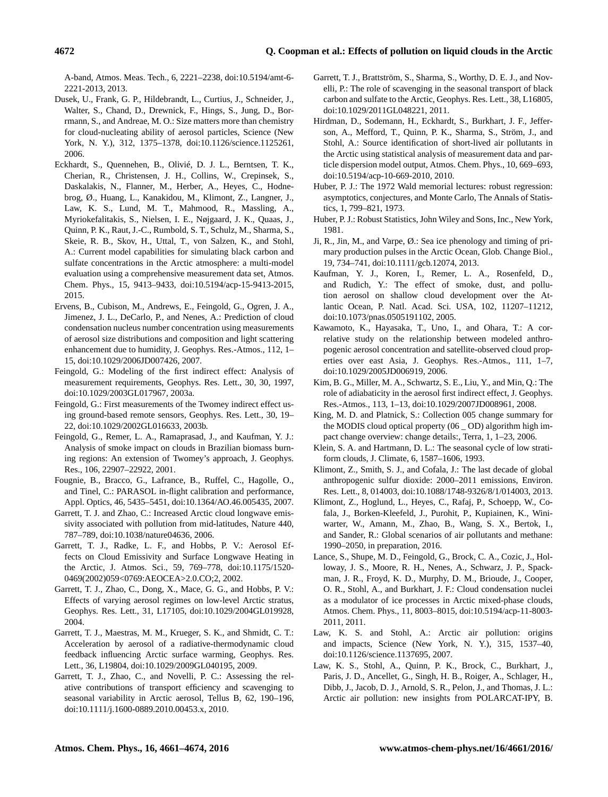A-band, Atmos. Meas. Tech., 6, 2221–2238, doi[:10.5194/amt-6-](http://dx.doi.org/10.5194/amt-6-2221-2013) [2221-2013,](http://dx.doi.org/10.5194/amt-6-2221-2013) 2013.

- Dusek, U., Frank, G. P., Hildebrandt, L., Curtius, J., Schneider, J., Walter, S., Chand, D., Drewnick, F., Hings, S., Jung, D., Borrmann, S., and Andreae, M. O.: Size matters more than chemistry for cloud-nucleating ability of aerosol particles, Science (New York, N. Y.), 312, 1375–1378, doi[:10.1126/science.1125261,](http://dx.doi.org/10.1126/science.1125261) 2006.
- Eckhardt, S., Quennehen, B., Olivié, D. J. L., Berntsen, T. K., Cherian, R., Christensen, J. H., Collins, W., Crepinsek, S., Daskalakis, N., Flanner, M., Herber, A., Heyes, C., Hodnebrog, Ø., Huang, L., Kanakidou, M., Klimont, Z., Langner, J., Law, K. S., Lund, M. T., Mahmood, R., Massling, A., Myriokefalitakis, S., Nielsen, I. E., Nøjgaard, J. K., Quaas, J., Quinn, P. K., Raut, J.-C., Rumbold, S. T., Schulz, M., Sharma, S., Skeie, R. B., Skov, H., Uttal, T., von Salzen, K., and Stohl, A.: Current model capabilities for simulating black carbon and sulfate concentrations in the Arctic atmosphere: a multi-model evaluation using a comprehensive measurement data set, Atmos. Chem. Phys., 15, 9413–9433, doi[:10.5194/acp-15-9413-2015,](http://dx.doi.org/10.5194/acp-15-9413-2015) 2015.
- Ervens, B., Cubison, M., Andrews, E., Feingold, G., Ogren, J. A., Jimenez, J. L., DeCarlo, P., and Nenes, A.: Prediction of cloud condensation nucleus number concentration using measurements of aerosol size distributions and composition and light scattering enhancement due to humidity, J. Geophys. Res.-Atmos., 112, 1– 15, doi[:10.1029/2006JD007426,](http://dx.doi.org/10.1029/2006JD007426) 2007.
- Feingold, G.: Modeling of the first indirect effect: Analysis of measurement requirements, Geophys. Res. Lett., 30, 30, 1997, doi[:10.1029/2003GL017967,](http://dx.doi.org/10.1029/2003GL017967) 2003a.
- Feingold, G.: First measurements of the Twomey indirect effect using ground-based remote sensors, Geophys. Res. Lett., 30, 19– 22, doi[:10.1029/2002GL016633,](http://dx.doi.org/10.1029/2002GL016633) 2003b.
- Feingold, G., Remer, L. A., Ramaprasad, J., and Kaufman, Y. J.: Analysis of smoke impact on clouds in Brazilian biomass burning regions: An extension of Twomey's approach, J. Geophys. Res., 106, 22907–22922, 2001.
- Fougnie, B., Bracco, G., Lafrance, B., Ruffel, C., Hagolle, O., and Tinel, C.: PARASOL in-flight calibration and performance, Appl. Optics, 46, 5435–5451, doi[:10.1364/AO.46.005435,](http://dx.doi.org/10.1364/AO.46.005435) 2007.
- Garrett, T. J. and Zhao, C.: Increased Arctic cloud longwave emissivity associated with pollution from mid-latitudes, Nature 440, 787–789, doi[:10.1038/nature04636,](http://dx.doi.org/10.1038/nature04636) 2006.
- Garrett, T. J., Radke, L. F., and Hobbs, P. V.: Aerosol Effects on Cloud Emissivity and Surface Longwave Heating in the Arctic, J. Atmos. Sci., 59, 769–778, doi[:10.1175/1520-](http://dx.doi.org/10.1175/1520-0469(2002)059<0769:AEOCEA>2.0.CO;2) [0469\(2002\)059<0769:AEOCEA>2.0.CO;2,](http://dx.doi.org/10.1175/1520-0469(2002)059<0769:AEOCEA>2.0.CO;2) 2002.
- Garrett, T. J., Zhao, C., Dong, X., Mace, G. G., and Hobbs, P. V.: Effects of varying aerosol regimes on low-level Arctic stratus, Geophys. Res. Lett., 31, L17105, doi[:10.1029/2004GL019928,](http://dx.doi.org/10.1029/2004GL019928) 2004.
- Garrett, T. J., Maestras, M. M., Krueger, S. K., and Shmidt, C. T.: Acceleration by aerosol of a radiative-thermodynamic cloud feedback influencing Arctic surface warming, Geophys. Res. Lett., 36, L19804, doi[:10.1029/2009GL040195,](http://dx.doi.org/10.1029/2009GL040195) 2009.
- Garrett, T. J., Zhao, C., and Novelli, P. C.: Assessing the relative contributions of transport efficiency and scavenging to seasonal variability in Arctic aerosol, Tellus B, 62, 190–196, doi[:10.1111/j.1600-0889.2010.00453.x,](http://dx.doi.org/10.1111/j.1600-0889.2010.00453.x) 2010.
- Garrett, T. J., Brattström, S., Sharma, S., Worthy, D. E. J., and Novelli, P.: The role of scavenging in the seasonal transport of black carbon and sulfate to the Arctic, Geophys. Res. Lett., 38, L16805, doi[:10.1029/2011GL048221,](http://dx.doi.org/10.1029/2011GL048221) 2011.
- Hirdman, D., Sodemann, H., Eckhardt, S., Burkhart, J. F., Jefferson, A., Mefford, T., Quinn, P. K., Sharma, S., Ström, J., and Stohl, A.: Source identification of short-lived air pollutants in the Arctic using statistical analysis of measurement data and particle dispersion model output, Atmos. Chem. Phys., 10, 669–693, doi[:10.5194/acp-10-669-2010,](http://dx.doi.org/10.5194/acp-10-669-2010) 2010.
- Huber, P. J.: The 1972 Wald memorial lectures: robust regression: asymptotics, conjectures, and Monte Carlo, The Annals of Statistics, 1, 799–821, 1973.
- Huber, P. J.: Robust Statistics, John Wiley and Sons, Inc., New York, 1981.
- Ji, R., Jin, M., and Varpe, Ø.: Sea ice phenology and timing of primary production pulses in the Arctic Ocean, Glob. Change Biol., 19, 734–741, doi[:10.1111/gcb.12074,](http://dx.doi.org/10.1111/gcb.12074) 2013.
- Kaufman, Y. J., Koren, I., Remer, L. A., Rosenfeld, D., and Rudich, Y.: The effect of smoke, dust, and pollution aerosol on shallow cloud development over the Atlantic Ocean, P. Natl. Acad. Sci. USA, 102, 11207–11212, doi[:10.1073/pnas.0505191102,](http://dx.doi.org/10.1073/pnas.0505191102) 2005.
- Kawamoto, K., Hayasaka, T., Uno, I., and Ohara, T.: A correlative study on the relationship between modeled anthropogenic aerosol concentration and satellite-observed cloud properties over east Asia, J. Geophys. Res.-Atmos., 111, 1–7, doi[:10.1029/2005JD006919,](http://dx.doi.org/10.1029/2005JD006919) 2006.
- Kim, B. G., Miller, M. A., Schwartz, S. E., Liu, Y., and Min, Q.: The role of adiabaticity in the aerosol first indirect effect, J. Geophys. Res.-Atmos., 113, 1–13, doi[:10.1029/2007JD008961,](http://dx.doi.org/10.1029/2007JD008961) 2008.
- King, M. D. and Platnick, S.: Collection 005 change summary for the MODIS cloud optical property (06 \_ OD) algorithm high impact change overview: change details:, Terra, 1, 1–23, 2006.
- Klein, S. A. and Hartmann, D. L.: The seasonal cycle of low stratiform clouds, J. Climate, 6, 1587–1606, 1993.
- Klimont, Z., Smith, S. J., and Cofala, J.: The last decade of global anthropogenic sulfur dioxide: 2000–2011 emissions, Environ. Res. Lett., 8, 014003, doi[:10.1088/1748-9326/8/1/014003,](http://dx.doi.org/10.1088/1748-9326/8/1/014003) 2013.
- Klimont, Z., Hoglund, L., Heyes, C., Rafaj, P., Schoepp, W., Cofala, J., Borken-Kleefeld, J., Purohit, P., Kupiainen, K., Winiwarter, W., Amann, M., Zhao, B., Wang, S. X., Bertok, I., and Sander, R.: Global scenarios of air pollutants and methane: 1990–2050, in preparation, 2016.
- Lance, S., Shupe, M. D., Feingold, G., Brock, C. A., Cozic, J., Holloway, J. S., Moore, R. H., Nenes, A., Schwarz, J. P., Spackman, J. R., Froyd, K. D., Murphy, D. M., Brioude, J., Cooper, O. R., Stohl, A., and Burkhart, J. F.: Cloud condensation nuclei as a modulator of ice processes in Arctic mixed-phase clouds, Atmos. Chem. Phys., 11, 8003–8015, doi[:10.5194/acp-11-8003-](http://dx.doi.org/10.5194/acp-11-8003-2011) [2011,](http://dx.doi.org/10.5194/acp-11-8003-2011) 2011.
- Law, K. S. and Stohl, A.: Arctic air pollution: origins and impacts, Science (New York, N. Y.), 315, 1537–40, doi[:10.1126/science.1137695,](http://dx.doi.org/10.1126/science.1137695) 2007.
- Law, K. S., Stohl, A., Quinn, P. K., Brock, C., Burkhart, J., Paris, J. D., Ancellet, G., Singh, H. B., Roiger, A., Schlager, H., Dibb, J., Jacob, D. J., Arnold, S. R., Pelon, J., and Thomas, J. L.: Arctic air pollution: new insights from POLARCAT-IPY, B.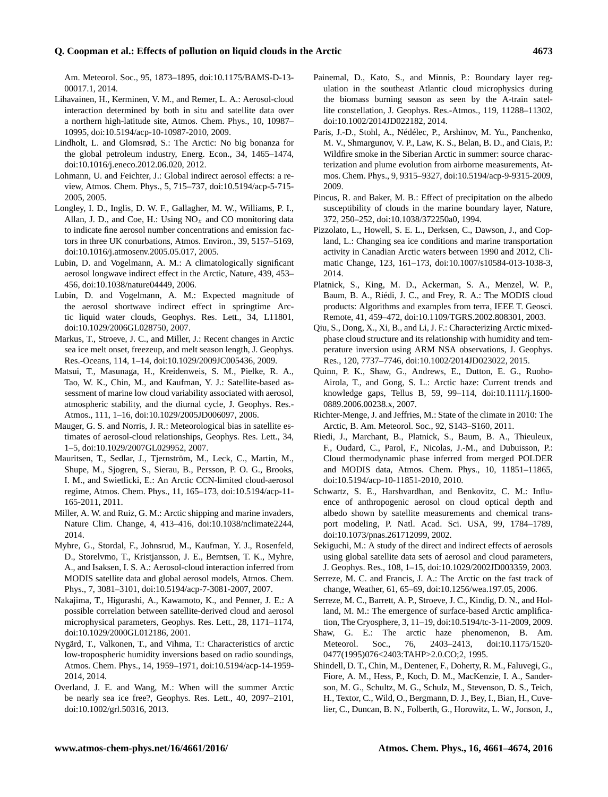### **Q. Coopman et al.: Effects of pollution on liquid clouds in the Arctic 4673**

Am. Meteorol. Soc., 95, 1873–1895, doi[:10.1175/BAMS-D-13-](http://dx.doi.org/10.1175/BAMS-D-13-00017.1) [00017.1,](http://dx.doi.org/10.1175/BAMS-D-13-00017.1) 2014.

- Lihavainen, H., Kerminen, V. M., and Remer, L. A.: Aerosol-cloud interaction determined by both in situ and satellite data over a northern high-latitude site, Atmos. Chem. Phys., 10, 10987– 10995, doi[:10.5194/acp-10-10987-2010,](http://dx.doi.org/10.5194/acp-10-10987-2010) 2009.
- Lindholt, L. and Glomsrød, S.: The Arctic: No big bonanza for the global petroleum industry, Energ. Econ., 34, 1465–1474, doi[:10.1016/j.eneco.2012.06.020,](http://dx.doi.org/10.1016/j.eneco.2012.06.020) 2012.
- Lohmann, U. and Feichter, J.: Global indirect aerosol effects: a review, Atmos. Chem. Phys., 5, 715–737, doi[:10.5194/acp-5-715-](http://dx.doi.org/10.5194/acp-5-715-2005) [2005,](http://dx.doi.org/10.5194/acp-5-715-2005) 2005.
- Longley, I. D., Inglis, D. W. F., Gallagher, M. W., Williams, P. I., Allan, J. D., and Coe, H.: Using  $NO<sub>x</sub>$  and CO monitoring data to indicate fine aerosol number concentrations and emission factors in three UK conurbations, Atmos. Environ., 39, 5157–5169, doi[:10.1016/j.atmosenv.2005.05.017,](http://dx.doi.org/10.1016/j.atmosenv.2005.05.017) 2005.
- Lubin, D. and Vogelmann, A. M.: A climatologically significant aerosol longwave indirect effect in the Arctic, Nature, 439, 453– 456, doi[:10.1038/nature04449,](http://dx.doi.org/10.1038/nature04449) 2006.
- Lubin, D. and Vogelmann, A. M.: Expected magnitude of the aerosol shortwave indirect effect in springtime Arctic liquid water clouds, Geophys. Res. Lett., 34, L11801, doi[:10.1029/2006GL028750,](http://dx.doi.org/10.1029/2006GL028750) 2007.
- Markus, T., Stroeve, J. C., and Miller, J.: Recent changes in Arctic sea ice melt onset, freezeup, and melt season length, J. Geophys. Res.-Oceans, 114, 1–14, doi[:10.1029/2009JC005436,](http://dx.doi.org/10.1029/2009JC005436) 2009.
- Matsui, T., Masunaga, H., Kreidenweis, S. M., Pielke, R. A., Tao, W. K., Chin, M., and Kaufman, Y. J.: Satellite-based assessment of marine low cloud variability associated with aerosol, atmospheric stability, and the diurnal cycle, J. Geophys. Res.- Atmos., 111, 1–16, doi[:10.1029/2005JD006097,](http://dx.doi.org/10.1029/2005JD006097) 2006.
- Mauger, G. S. and Norris, J. R.: Meteorological bias in satellite estimates of aerosol-cloud relationships, Geophys. Res. Lett., 34, 1–5, doi[:10.1029/2007GL029952,](http://dx.doi.org/10.1029/2007GL029952) 2007.
- Mauritsen, T., Sedlar, J., Tjernström, M., Leck, C., Martin, M., Shupe, M., Sjogren, S., Sierau, B., Persson, P. O. G., Brooks, I. M., and Swietlicki, E.: An Arctic CCN-limited cloud-aerosol regime, Atmos. Chem. Phys., 11, 165–173, doi[:10.5194/acp-11-](http://dx.doi.org/10.5194/acp-11-165-2011) [165-2011,](http://dx.doi.org/10.5194/acp-11-165-2011) 2011.
- Miller, A. W. and Ruiz, G. M.: Arctic shipping and marine invaders, Nature Clim. Change, 4, 413–416, doi[:10.1038/nclimate2244,](http://dx.doi.org/10.1038/nclimate2244) 2014.
- Myhre, G., Stordal, F., Johnsrud, M., Kaufman, Y. J., Rosenfeld, D., Storelvmo, T., Kristjansson, J. E., Berntsen, T. K., Myhre, A., and Isaksen, I. S. A.: Aerosol-cloud interaction inferred from MODIS satellite data and global aerosol models, Atmos. Chem. Phys., 7, 3081–3101, doi[:10.5194/acp-7-3081-2007,](http://dx.doi.org/10.5194/acp-7-3081-2007) 2007.
- Nakajima, T., Higurashi, A., Kawamoto, K., and Penner, J. E.: A possible correlation between satellite-derived cloud and aerosol microphysical parameters, Geophys. Res. Lett., 28, 1171–1174, doi[:10.1029/2000GL012186,](http://dx.doi.org/10.1029/2000GL012186) 2001.
- Nygärd, T., Valkonen, T., and Vihma, T.: Characteristics of arctic low-tropospheric humidity inversions based on radio soundings, Atmos. Chem. Phys., 14, 1959–1971, doi[:10.5194/acp-14-1959-](http://dx.doi.org/10.5194/acp-14-1959-2014) [2014,](http://dx.doi.org/10.5194/acp-14-1959-2014) 2014.
- Overland, J. E. and Wang, M.: When will the summer Arctic be nearly sea ice free?, Geophys. Res. Lett., 40, 2097–2101, doi[:10.1002/grl.50316,](http://dx.doi.org/10.1002/grl.50316) 2013.
- Painemal, D., Kato, S., and Minnis, P.: Boundary layer regulation in the southeast Atlantic cloud microphysics during the biomass burning season as seen by the A-train satellite constellation, J. Geophys. Res.-Atmos., 119, 11288–11302, doi[:10.1002/2014JD022182,](http://dx.doi.org/10.1002/2014JD022182) 2014.
- Paris, J.-D., Stohl, A., Nédélec, P., Arshinov, M. Yu., Panchenko, M. V., Shmargunov, V. P., Law, K. S., Belan, B. D., and Ciais, P.: Wildfire smoke in the Siberian Arctic in summer: source characterization and plume evolution from airborne measurements, Atmos. Chem. Phys., 9, 9315–9327, doi[:10.5194/acp-9-9315-2009,](http://dx.doi.org/10.5194/acp-9-9315-2009) 2009.
- Pincus, R. and Baker, M. B.: Effect of precipitation on the albedo susceptibility of clouds in the marine boundary layer, Nature, 372, 250–252, doi[:10.1038/372250a0,](http://dx.doi.org/10.1038/372250a0) 1994.
- Pizzolato, L., Howell, S. E. L., Derksen, C., Dawson, J., and Copland, L.: Changing sea ice conditions and marine transportation activity in Canadian Arctic waters between 1990 and 2012, Climatic Change, 123, 161–173, doi[:10.1007/s10584-013-1038-3,](http://dx.doi.org/10.1007/s10584-013-1038-3) 2014.
- Platnick, S., King, M. D., Ackerman, S. A., Menzel, W. P., Baum, B. A., Riédi, J. C., and Frey, R. A.: The MODIS cloud products: Algorithms and examples from terra, IEEE T. Geosci. Remote, 41, 459–472, doi[:10.1109/TGRS.2002.808301,](http://dx.doi.org/10.1109/TGRS.2002.808301) 2003.
- Qiu, S., Dong, X., Xi, B., and Li, J. F.: Characterizing Arctic mixedphase cloud structure and its relationship with humidity and temperature inversion using ARM NSA observations, J. Geophys. Res., 120, 7737–7746, doi[:10.1002/2014JD023022,](http://dx.doi.org/10.1002/2014JD023022) 2015.
- Quinn, P. K., Shaw, G., Andrews, E., Dutton, E. G., Ruoho-Airola, T., and Gong, S. L.: Arctic haze: Current trends and knowledge gaps, Tellus B, 59, 99–114, doi[:10.1111/j.1600-](http://dx.doi.org/10.1111/j.1600-0889.2006.00238.x) [0889.2006.00238.x,](http://dx.doi.org/10.1111/j.1600-0889.2006.00238.x) 2007.
- Richter-Menge, J. and Jeffries, M.: State of the climate in 2010: The Arctic, B. Am. Meteorol. Soc., 92, S143–S160, 2011.
- Riedi, J., Marchant, B., Platnick, S., Baum, B. A., Thieuleux, F., Oudard, C., Parol, F., Nicolas, J.-M., and Dubuisson, P.: Cloud thermodynamic phase inferred from merged POLDER and MODIS data, Atmos. Chem. Phys., 10, 11851–11865, doi[:10.5194/acp-10-11851-2010,](http://dx.doi.org/10.5194/acp-10-11851-2010) 2010.
- Schwartz, S. E., Harshvardhan, and Benkovitz, C. M.: Influence of anthropogenic aerosol on cloud optical depth and albedo shown by satellite measurements and chemical transport modeling, P. Natl. Acad. Sci. USA, 99, 1784–1789, doi[:10.1073/pnas.261712099,](http://dx.doi.org/10.1073/pnas.261712099) 2002.
- Sekiguchi, M.: A study of the direct and indirect effects of aerosols using global satellite data sets of aerosol and cloud parameters, J. Geophys. Res., 108, 1–15, doi[:10.1029/2002JD003359,](http://dx.doi.org/10.1029/2002JD003359) 2003.
- Serreze, M. C. and Francis, J. A.: The Arctic on the fast track of change, Weather, 61, 65–69, doi[:10.1256/wea.197.05,](http://dx.doi.org/10.1256/wea.197.05) 2006.
- Serreze, M. C., Barrett, A. P., Stroeve, J. C., Kindig, D. N., and Holland, M. M.: The emergence of surface-based Arctic amplification, The Cryosphere, 3, 11–19, doi[:10.5194/tc-3-11-2009,](http://dx.doi.org/10.5194/tc-3-11-2009) 2009.
- Shaw, G. E.: The arctic haze phenomenon, B. Am. Meteorol. Soc., 76, 2403–2413, doi[:10.1175/1520-](http://dx.doi.org/10.1175/1520-0477(1995)076<2403:TAHP>2.0.CO;2) [0477\(1995\)076<2403:TAHP>2.0.CO;2,](http://dx.doi.org/10.1175/1520-0477(1995)076<2403:TAHP>2.0.CO;2) 1995.
- Shindell, D. T., Chin, M., Dentener, F., Doherty, R. M., Faluvegi, G., Fiore, A. M., Hess, P., Koch, D. M., MacKenzie, I. A., Sanderson, M. G., Schultz, M. G., Schulz, M., Stevenson, D. S., Teich, H., Textor, C., Wild, O., Bergmann, D. J., Bey, I., Bian, H., Cuvelier, C., Duncan, B. N., Folberth, G., Horowitz, L. W., Jonson, J.,